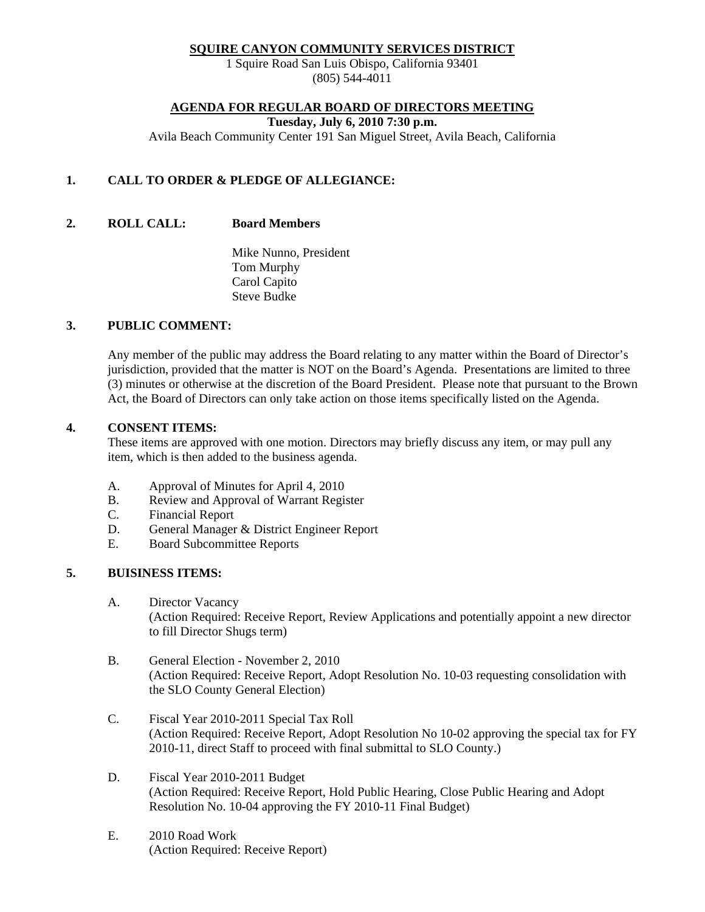#### **SQUIRE CANYON COMMUNITY SERVICES DISTRICT**

1 Squire Road San Luis Obispo, California 93401 (805) 544-4011

#### **AGENDA FOR REGULAR BOARD OF DIRECTORS MEETING**

**Tuesday, July 6, 2010 7:30 p.m.** 

Avila Beach Community Center 191 San Miguel Street, Avila Beach, California

## **1. CALL TO ORDER & PLEDGE OF ALLEGIANCE:**

**2. ROLL CALL: Board Members** 

 Mike Nunno, President Tom Murphy Carol Capito Steve Budke

#### **3. PUBLIC COMMENT:**

Any member of the public may address the Board relating to any matter within the Board of Director's jurisdiction, provided that the matter is NOT on the Board's Agenda. Presentations are limited to three (3) minutes or otherwise at the discretion of the Board President. Please note that pursuant to the Brown Act, the Board of Directors can only take action on those items specifically listed on the Agenda.

#### **4. CONSENT ITEMS:**

These items are approved with one motion. Directors may briefly discuss any item, or may pull any item, which is then added to the business agenda.

- A. Approval of Minutes for April 4, 2010
- B. Review and Approval of Warrant Register
- C. Financial Report
- D. General Manager & District Engineer Report
- E. Board Subcommittee Reports

## **5. BUISINESS ITEMS:**

- A. Director Vacancy (Action Required: Receive Report, Review Applications and potentially appoint a new director to fill Director Shugs term)
- B. General Election November 2, 2010 (Action Required: Receive Report, Adopt Resolution No. 10-03 requesting consolidation with the SLO County General Election)
- C. Fiscal Year 2010-2011 Special Tax Roll (Action Required: Receive Report, Adopt Resolution No 10-02 approving the special tax for FY 2010-11, direct Staff to proceed with final submittal to SLO County.)
- D. Fiscal Year 2010-2011 Budget (Action Required: Receive Report, Hold Public Hearing, Close Public Hearing and Adopt Resolution No. 10-04 approving the FY 2010-11 Final Budget)
- E. 2010 Road Work (Action Required: Receive Report)